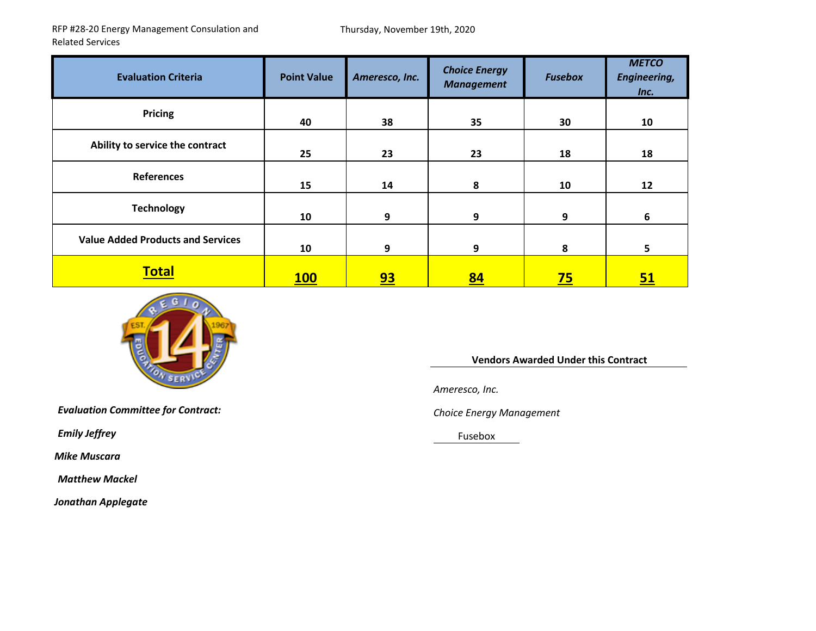RFP #28‐20 Energy Management Consulation and Related Services

| <b>Evaluation Criteria</b>               | <b>Point Value</b> | Ameresco, Inc. | <b>Choice Energy</b><br><b>Management</b> | <b>Fusebox</b> | <b>METCO</b><br><b>Engineering,</b><br>Inc. |
|------------------------------------------|--------------------|----------------|-------------------------------------------|----------------|---------------------------------------------|
| <b>Pricing</b>                           | 40                 | 38             | 35                                        | 30             | 10                                          |
| Ability to service the contract          | 25                 | 23             | 23                                        | 18             | 18                                          |
| References                               | 15                 | 14             | 8                                         | 10             | 12                                          |
| <b>Technology</b>                        | 10                 | 9              | 9                                         | 9              | 6                                           |
| <b>Value Added Products and Services</b> | 10                 | 9              | 9                                         | 8              | 5                                           |
| <b>Total</b>                             | <b>100</b>         | <u>93</u>      | <u>84</u>                                 | <u>75</u>      | <u>51</u>                                   |



**Vendors Awarded Under this Contract**

*Ameresco, Inc.*

*Energy Management*

Fusebox

*Evaluation Committee for Contract: Choice*

*Emily Jeffrey* 

*Mike Muscara*

*Matthew Mackel*

*Jonathan Applegate*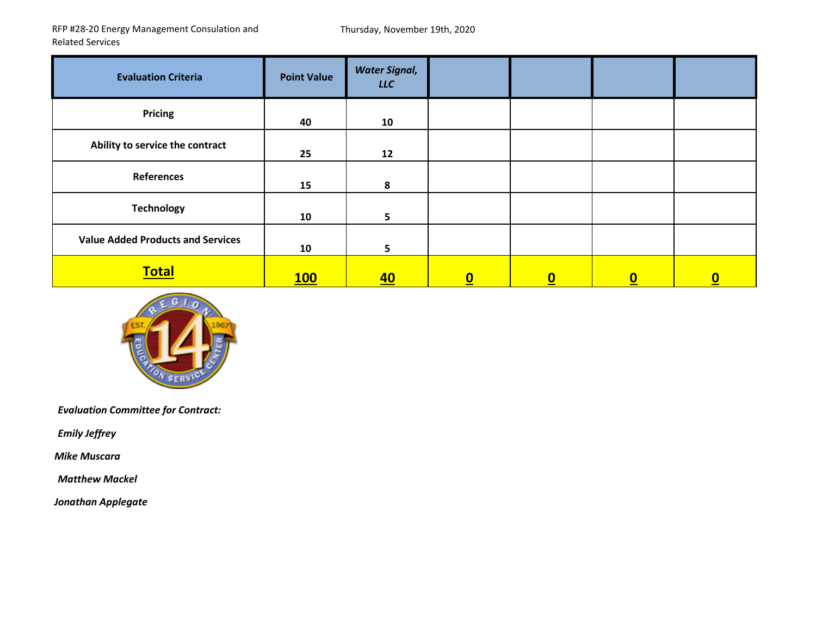RFP #28‐20 Energy Management Consulation and Related Services

| <b>Evaluation Criteria</b>               | <b>Point Value</b> | <b>Water Signal,</b><br><b>LLC</b> |          |          |                  |          |
|------------------------------------------|--------------------|------------------------------------|----------|----------|------------------|----------|
| <b>Pricing</b>                           | 40                 | 10                                 |          |          |                  |          |
| Ability to service the contract          | 25                 | 12                                 |          |          |                  |          |
| <b>References</b>                        | 15                 | 8                                  |          |          |                  |          |
| <b>Technology</b>                        | 10                 | 5                                  |          |          |                  |          |
| <b>Value Added Products and Services</b> | 10                 | 5                                  |          |          |                  |          |
| <b>Total</b>                             | 100                | <u>40</u>                          | <u>0</u> | <u>0</u> | $\boldsymbol{0}$ | <u>0</u> |



*Evaluation Committee for Contract:*

*Emily Jeffrey*

*Mike Muscara*

*Matthew Mackel*

*Jonathan Applegate*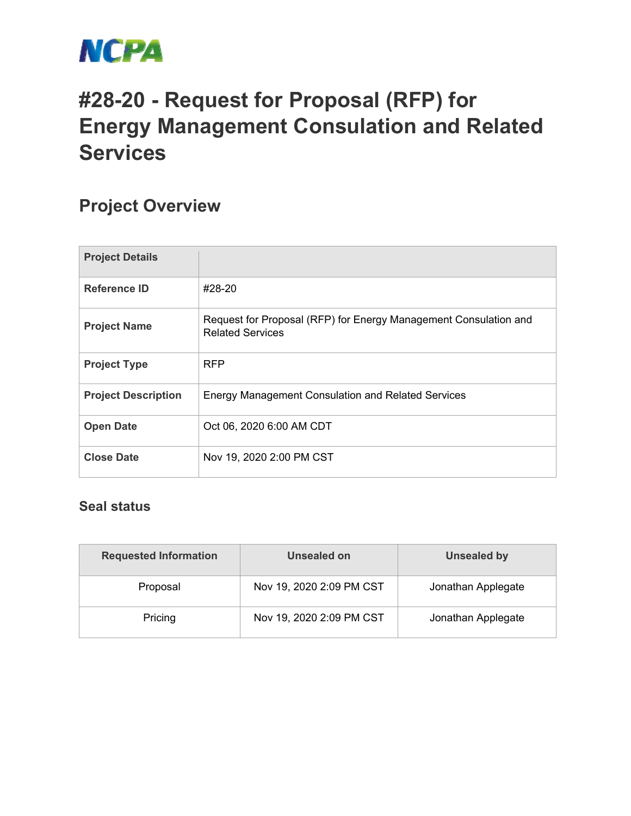

## **#28-20 - Request for Proposal (RFP) for Energy Management Consulation and Related Services**

## **Project Overview**

| <b>Project Details</b>     |                                                                                             |
|----------------------------|---------------------------------------------------------------------------------------------|
| Reference ID               | #28-20                                                                                      |
| <b>Project Name</b>        | Request for Proposal (RFP) for Energy Management Consulation and<br><b>Related Services</b> |
| <b>Project Type</b>        | <b>RFP</b>                                                                                  |
| <b>Project Description</b> | <b>Energy Management Consulation and Related Services</b>                                   |
| <b>Open Date</b>           | Oct 06, 2020 6:00 AM CDT                                                                    |
| <b>Close Date</b>          | Nov 19, 2020 2:00 PM CST                                                                    |

## **Seal status**

| <b>Requested Information</b> | Unsealed on              | <b>Unsealed by</b> |  |
|------------------------------|--------------------------|--------------------|--|
| Proposal                     | Nov 19, 2020 2:09 PM CST | Jonathan Applegate |  |
| Pricing                      | Nov 19, 2020 2:09 PM CST | Jonathan Applegate |  |